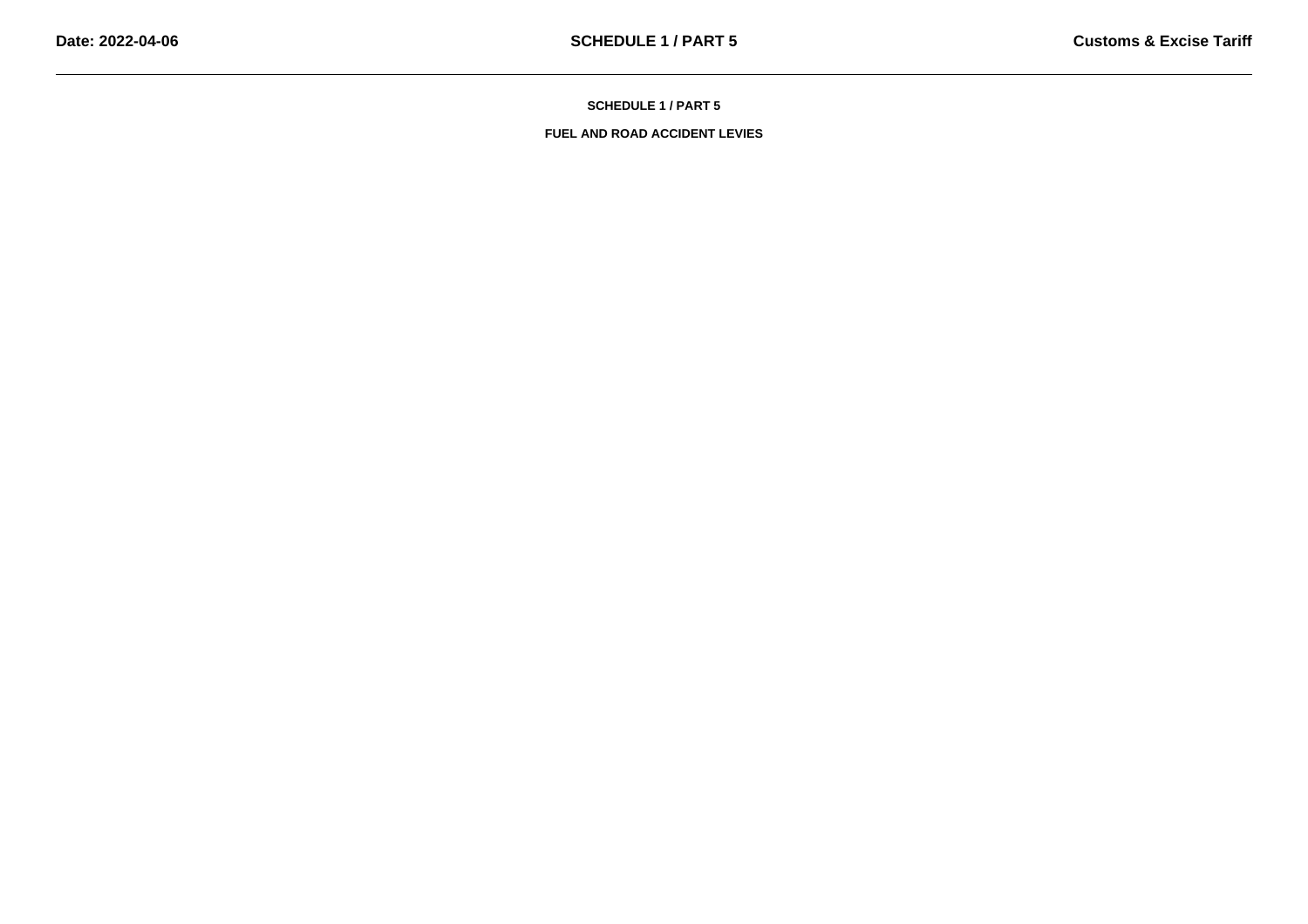**SCHEDULE 1 / PART 5**

**FUEL AND ROAD ACCIDENT LEVIES**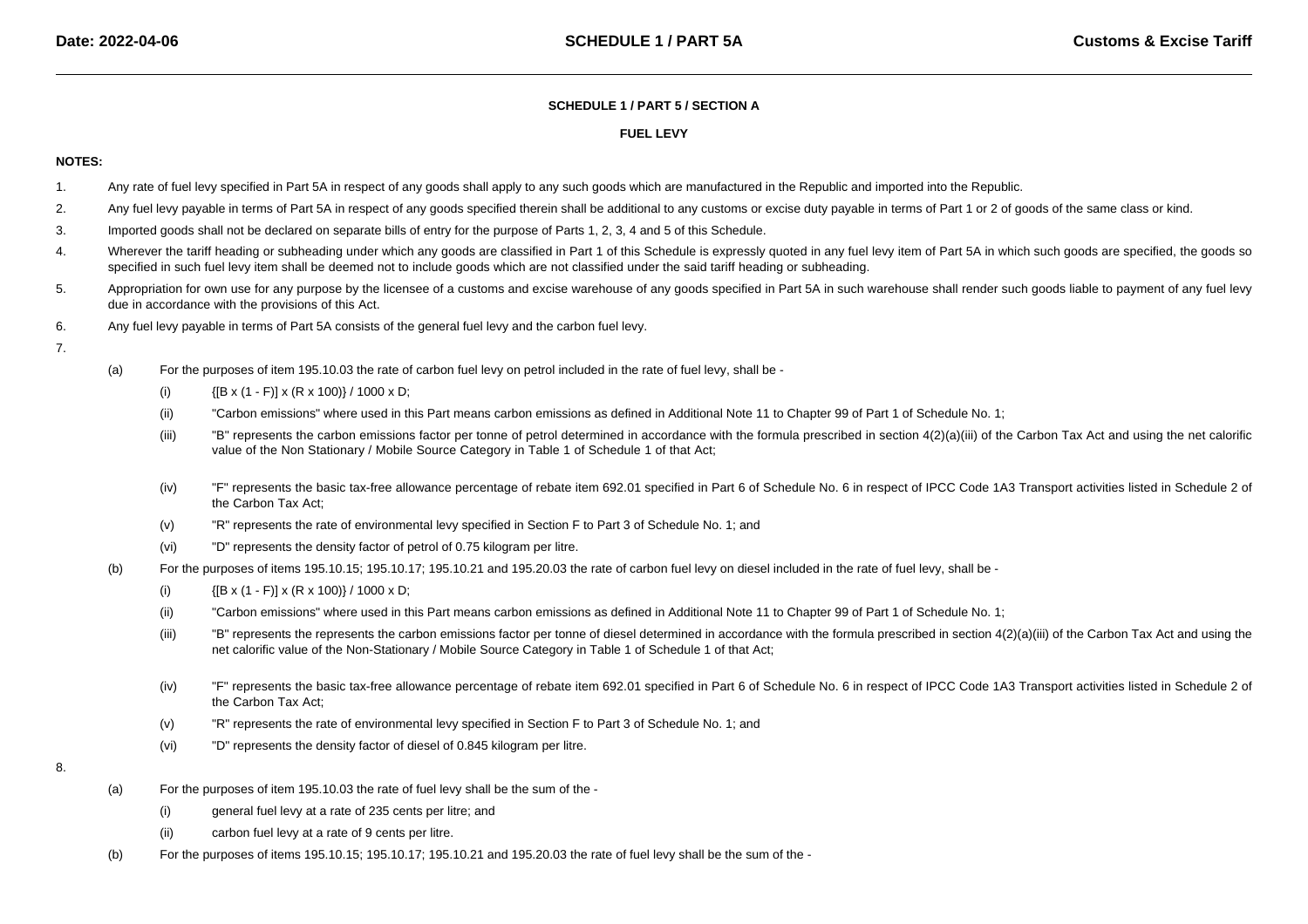## **SCHEDULE 1 / PART 5 / SECTION A**

## **FUEL LEVY**

## **NOTES:**

- 1.Any rate of fuel levy specified in Part 5A in respect of any goods shall apply to any such goods which are manufactured in the Republic and imported into the Republic.
- 2.Any fuel levy payable in terms of Part 5A in respect of any goods specified therein shall be additional to any customs or excise duty payable in terms of Part 1 or 2 of goods of the same class or kind.
- 3.Imported goods shall not be declared on separate bills of entry for the purpose of Parts 1, 2, 3, 4 and 5 of this Schedule.
- 4.Wherever the tariff heading or subheading under which any goods are classified in Part 1 of this Schedule is expressly quoted in any fuel levy item of Part 5A in which such goods are specified, the goods so specified in such fuel levy item shall be deemed not to include goods which are not classified under the said tariff heading or subheading.
- 5.Appropriation for own use for any purpose by the licensee of a customs and excise warehouse of any goods specified in Part 5A in such warehouse shall render such goods liable to payment of any fuel levy due in accordance with the provisions of this Act.
- 6.Any fuel levy payable in terms of Part 5A consists of the general fuel levy and the carbon fuel levy.
- 7.
- (a) For the purposes of item 195.10.03 the rate of carbon fuel levy on petrol included in the rate of fuel levy, shall be -
	- (i){[B x (1 - F)] x (R x 100)} / 1000 x D;
	- (ii)"Carbon emissions" where used in this Part means carbon emissions as defined in Additional Note 11 to Chapter 99 of Part 1 of Schedule No. 1;
	- (iii)"B" represents the carbon emissions factor per tonne of petrol determined in accordance with the formula prescribed in section 4(2)(a)(iii) of the Carbon Tax Act and using the net calorific value of the Non Stationary / Mobile Source Category in Table 1 of Schedule 1 of that Act;
	- (iv)"F" represents the basic tax-free allowance percentage of rebate item 692.01 specified in Part 6 of Schedule No. 6 in respect of IPCC Code 1A3 Transport activities listed in Schedule 2 of the Carbon Tax Act;
	- (v)"R" represents the rate of environmental levy specified in Section F to Part 3 of Schedule No. 1; and
	- (vi)"D" represents the density factor of petrol of 0.75 kilogram per litre.
- (b) For the purposes of items 195.10.15; 195.10.17; 195.10.21 and 195.20.03 the rate of carbon fuel levy on diesel included in the rate of fuel levy, shall be -
	- (i){[B x (1 - F)] x (R x 100)} / 1000 x D;
	- (ii)"Carbon emissions" where used in this Part means carbon emissions as defined in Additional Note 11 to Chapter 99 of Part 1 of Schedule No. 1;
	- (iii)"B" represents the represents the carbon emissions factor per tonne of diesel determined in accordance with the formula prescribed in section 4(2)(a)(iii) of the Carbon Tax Act and using the net calorific value of the Non-Stationary / Mobile Source Category in Table 1 of Schedule 1 of that Act;
	- (iv)"F" represents the basic tax-free allowance percentage of rebate item 692.01 specified in Part 6 of Schedule No. 6 in respect of IPCC Code 1A3 Transport activities listed in Schedule 2 of the Carbon Tax Act;
	- (v)"R" represents the rate of environmental levy specified in Section F to Part 3 of Schedule No. 1; and
	- (vi)"D" represents the density factor of diesel of 0.845 kilogram per litre.
- 8.
- (a) For the purposes of item 195.10.03 the rate of fuel levy shall be the sum of the -
	- (i)general fuel levy at a rate of 235 cents per litre; and
	- (ii)carbon fuel levy at a rate of 9 cents per litre.
- (b)For the purposes of items 195.10.15; 195.10.17; 195.10.21 and 195.20.03 the rate of fuel levy shall be the sum of the -
-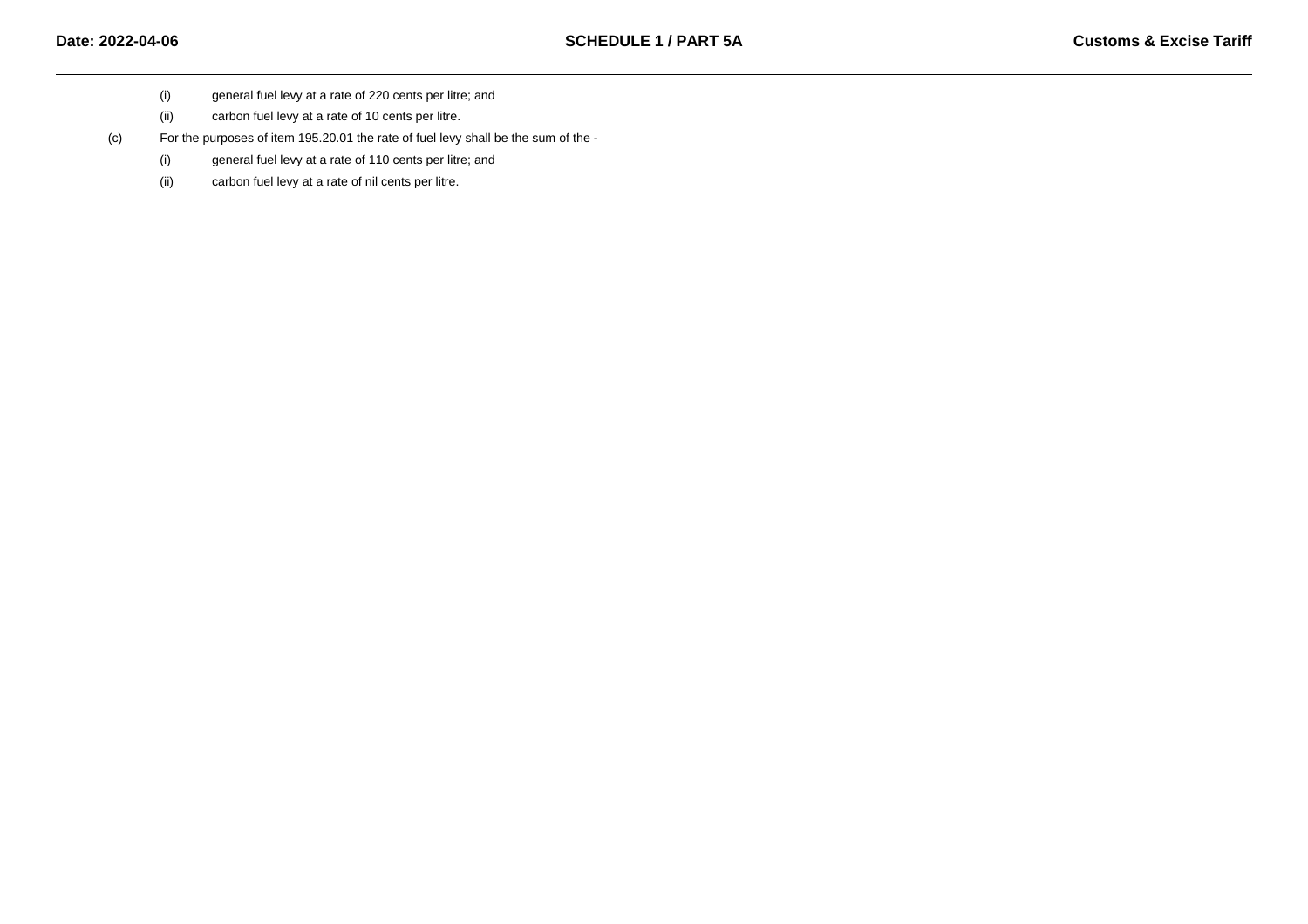- (i)general fuel levy at a rate of 220 cents per litre; and
- (ii)carbon fuel levy at a rate of 10 cents per litre.

(c)For the purposes of item 195.20.01 the rate of fuel levy shall be the sum of the -

- (i)general fuel levy at a rate of 110 cents per litre; and
- (ii)carbon fuel levy at a rate of nil cents per litre.